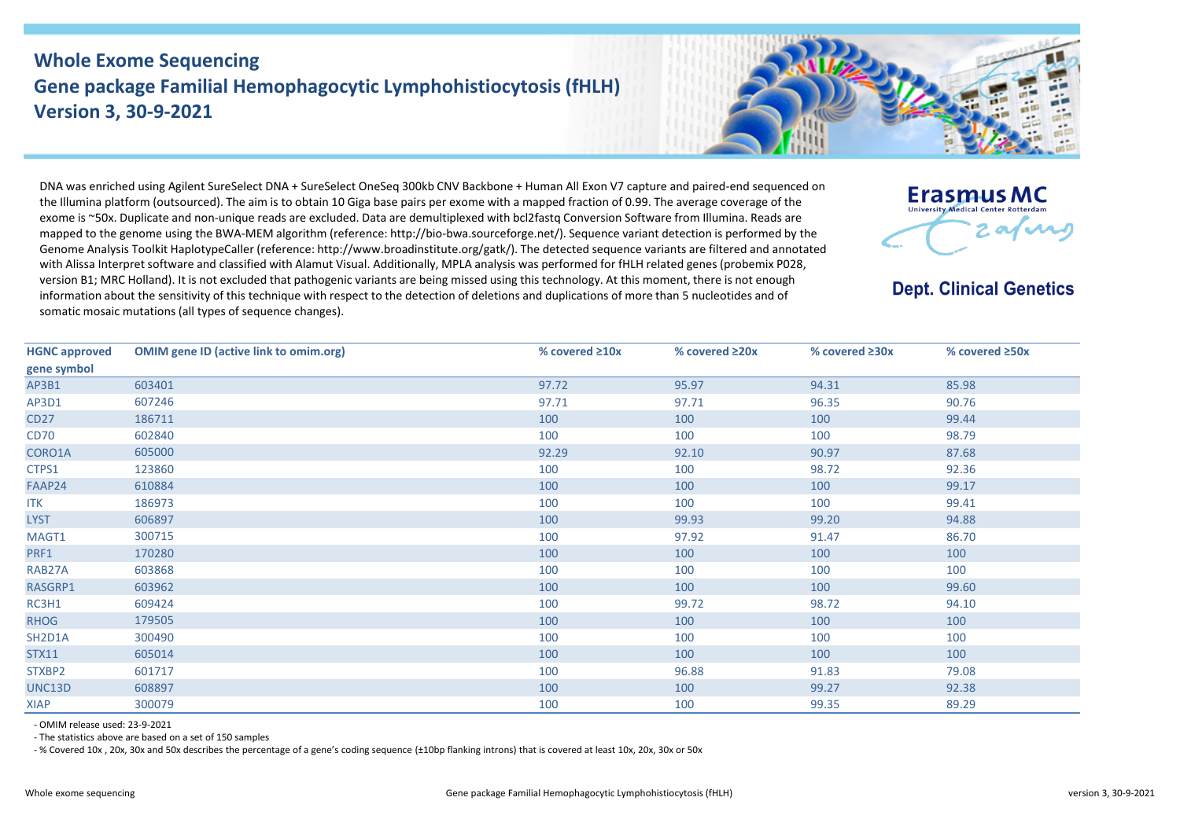## **Whole Exome Sequencing Gene package Familial Hemophagocytic Lymphohistiocytosis (fHLH) Version 3, 30-9-2021**



DNA was enriched using Agilent SureSelect DNA + SureSelect OneSeq 300kb CNV Backbone + Human All Exon V7 capture and paired-end sequenced on the Illumina platform (outsourced). The aim is to obtain 10 Giga base pairs per exome with a mapped fraction of 0.99. The average coverage of the exome is ~50x. Duplicate and non-unique reads are excluded. Data are demultiplexed with bcl2fastq Conversion Software from Illumina. Reads are mapped to the genome using the BWA-MEM algorithm (reference: http://bio-bwa.sourceforge.net/). Sequence variant detection is performed by the Genome Analysis Toolkit HaplotypeCaller (reference: http://www.broadinstitute.org/gatk/). The detected sequence variants are filtered and annotated with Alissa Interpret software and classified with Alamut Visual. Additionally, MPLA analysis was performed for fHLH related genes (probemix P028, version B1; MRC Holland). It is not excluded that pathogenic variants are being missed using this technology. At this moment, there is not enough information about the sensitivity of this technique with respect to the detection of deletions and duplications of more than 5 nucleotides and of somatic mosaic mutations (all types of sequence changes).



**Dept. Clinical Genetics** 

| <b>HGNC approved</b> | <b>OMIM gene ID (active link to omim.org)</b> | % covered $\geq 10x$ | % covered $\geq 20x$ | % covered $\geq 30x$ | % covered $\geq$ 50x |
|----------------------|-----------------------------------------------|----------------------|----------------------|----------------------|----------------------|
| gene symbol          |                                               |                      |                      |                      |                      |
| AP3B1                | 603401                                        | 97.72                | 95.97                | 94.31                | 85.98                |
| AP3D1                | 607246                                        | 97.71                | 97.71                | 96.35                | 90.76                |
| CD27                 | 186711                                        | 100                  | 100                  | 100                  | 99.44                |
| <b>CD70</b>          | 602840                                        | 100                  | 100                  | 100                  | 98.79                |
| CORO1A               | 605000                                        | 92.29                | 92.10                | 90.97                | 87.68                |
| CTPS1                | 123860                                        | 100                  | 100                  | 98.72                | 92.36                |
| FAAP24               | 610884                                        | 100                  | 100                  | 100                  | 99.17                |
| <b>ITK</b>           | 186973                                        | 100                  | 100                  | 100                  | 99.41                |
| <b>LYST</b>          | 606897                                        | 100                  | 99.93                | 99.20                | 94.88                |
| MAGT1                | 300715                                        | 100                  | 97.92                | 91.47                | 86.70                |
| PRF1                 | 170280                                        | 100                  | 100                  | 100                  | 100                  |
| RAB27A               | 603868                                        | 100                  | 100                  | 100                  | 100                  |
| RASGRP1              | 603962                                        | 100                  | 100                  | 100                  | 99.60                |
| RC3H1                | 609424                                        | 100                  | 99.72                | 98.72                | 94.10                |
| <b>RHOG</b>          | 179505                                        | 100                  | 100                  | 100                  | 100                  |
| SH2D1A               | 300490                                        | 100                  | 100                  | 100                  | 100                  |
| STX11                | 605014                                        | 100                  | 100                  | 100                  | 100                  |
| STXBP2               | 601717                                        | 100                  | 96.88                | 91.83                | 79.08                |
| UNC13D               | 608897                                        | 100                  | 100                  | 99.27                | 92.38                |
| XIAP                 | 300079                                        | 100                  | 100                  | 99.35                | 89.29                |

- OMIM release used: 23-9-2021

- The statistics above are based on a set of 150 samples

- % Covered 10x , 20x, 30x and 50x describes the percentage of a gene's coding sequence (±10bp flanking introns) that is covered at least 10x, 20x, 30x or 50x